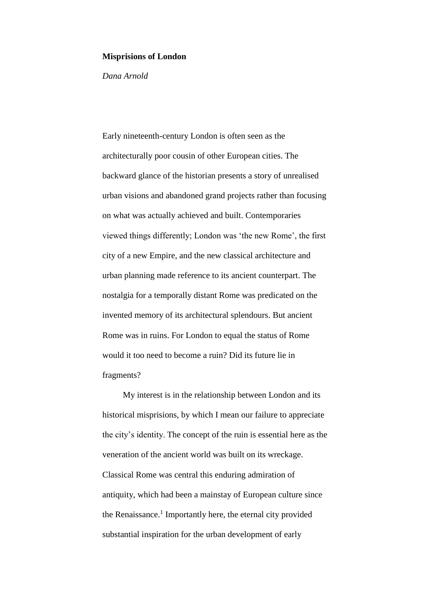### **Misprisions of London**

*Dana Arnold*

Early nineteenth-century London is often seen as the architecturally poor cousin of other European cities. The backward glance of the historian presents a story of unrealised urban visions and abandoned grand projects rather than focusing on what was actually achieved and built. Contemporaries viewed things differently; London was 'the new Rome', the first city of a new Empire, and the new classical architecture and urban planning made reference to its ancient counterpart. The nostalgia for a temporally distant Rome was predicated on the invented memory of its architectural splendours. But ancient Rome was in ruins. For London to equal the status of Rome would it too need to become a ruin? Did its future lie in fragments?

My interest is in the relationship between London and its historical misprisions, by which I mean our failure to appreciate the city's identity. The concept of the ruin is essential here as the veneration of the ancient world was built on its wreckage. Classical Rome was central this enduring admiration of antiquity, which had been a mainstay of European culture since the Renaissance. 1 Importantly here, the eternal city provided substantial inspiration for the urban development of early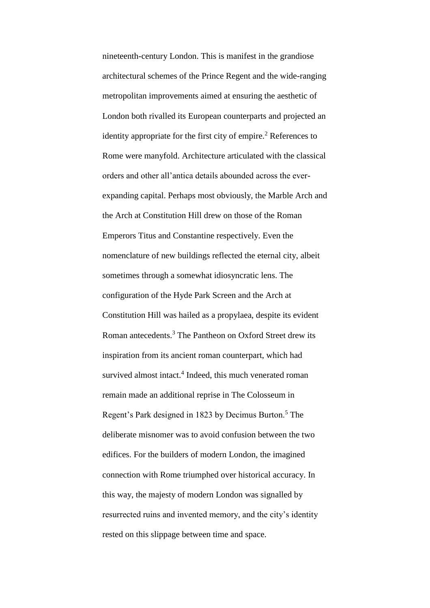nineteenth-century London. This is manifest in the grandiose architectural schemes of the Prince Regent and the wide-ranging metropolitan improvements aimed at ensuring the aesthetic of London both rivalled its European counterparts and projected an identity appropriate for the first city of empire.<sup>2</sup> References to Rome were manyfold. Architecture articulated with the classical orders and other all'antica details abounded across the everexpanding capital. Perhaps most obviously, the Marble Arch and the Arch at Constitution Hill drew on those of the Roman Emperors Titus and Constantine respectively. Even the nomenclature of new buildings reflected the eternal city, albeit sometimes through a somewhat idiosyncratic lens. The configuration of the Hyde Park Screen and the Arch at Constitution Hill was hailed as a propylaea, despite its evident Roman antecedents.<sup>3</sup> The Pantheon on Oxford Street drew its inspiration from its ancient roman counterpart, which had survived almost intact.<sup>4</sup> Indeed, this much venerated roman remain made an additional reprise in The Colosseum in Regent's Park designed in 1823 by Decimus Burton.<sup>5</sup> The deliberate misnomer was to avoid confusion between the two edifices. For the builders of modern London, the imagined connection with Rome triumphed over historical accuracy. In this way, the majesty of modern London was signalled by resurrected ruins and invented memory, and the city's identity rested on this slippage between time and space.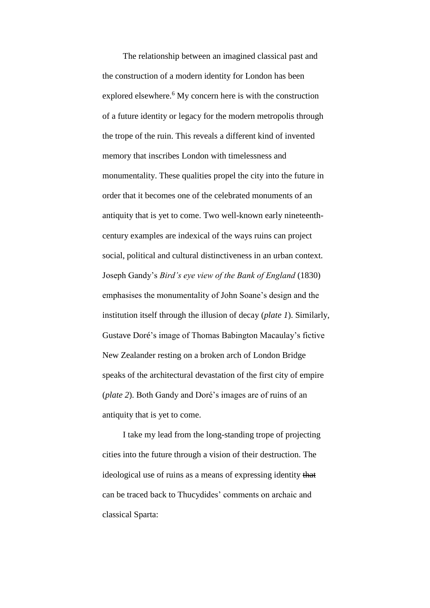The relationship between an imagined classical past and the construction of a modern identity for London has been explored elsewhere.<sup>6</sup> My concern here is with the construction of a future identity or legacy for the modern metropolis through the trope of the ruin. This reveals a different kind of invented memory that inscribes London with timelessness and monumentality. These qualities propel the city into the future in order that it becomes one of the celebrated monuments of an antiquity that is yet to come. Two well-known early nineteenthcentury examples are indexical of the ways ruins can project social, political and cultural distinctiveness in an urban context. Joseph Gandy's *Bird's eye view of the Bank of England* (1830) emphasises the monumentality of John Soane's design and the institution itself through the illusion of decay (*plate 1*). Similarly, Gustave Doré's image of Thomas Babington Macaulay's fictive New Zealander resting on a broken arch of London Bridge speaks of the architectural devastation of the first city of empire (*plate 2*). Both Gandy and Doré's images are of ruins of an antiquity that is yet to come.

I take my lead from the long-standing trope of projecting cities into the future through a vision of their destruction. The ideological use of ruins as a means of expressing identity that can be traced back to Thucydides' comments on archaic and classical Sparta: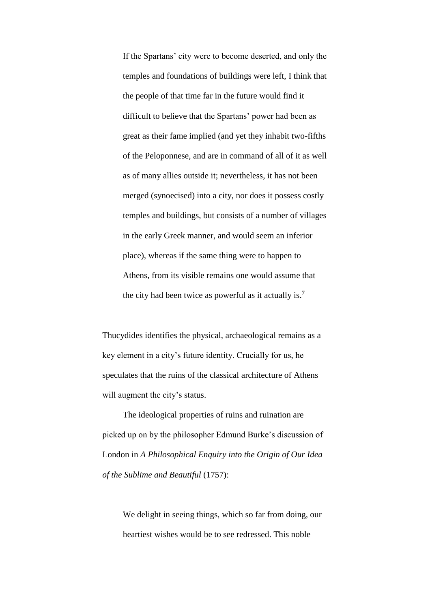If the Spartans' city were to become deserted, and only the temples and foundations of buildings were left, I think that the people of that time far in the future would find it difficult to believe that the Spartans' power had been as great as their fame implied (and yet they inhabit two-fifths of the Peloponnese, and are in command of all of it as well as of many allies outside it; nevertheless, it has not been merged (synoecised) into a city, nor does it possess costly temples and buildings, but consists of a number of villages in the early Greek manner, and would seem an inferior place), whereas if the same thing were to happen to Athens, from its visible remains one would assume that the city had been twice as powerful as it actually is.<sup>7</sup>

Thucydides identifies the physical, archaeological remains as a key element in a city's future identity. Crucially for us, he speculates that the ruins of the classical architecture of Athens will augment the city's status.

The ideological properties of ruins and ruination are picked up on by the philosopher Edmund Burke's discussion of London in *A Philosophical Enquiry into the Origin of Our Idea of the Sublime and Beautiful* (1757):

We delight in seeing things, which so far from doing, our heartiest wishes would be to see redressed. This noble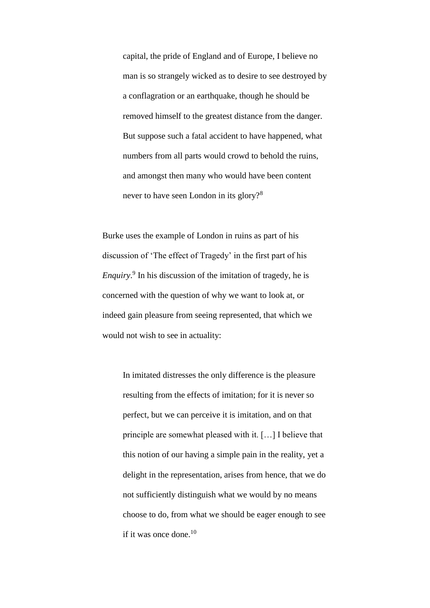capital, the pride of England and of Europe, I believe no man is so strangely wicked as to desire to see destroyed by a conflagration or an earthquake, though he should be removed himself to the greatest distance from the danger. But suppose such a fatal accident to have happened, what numbers from all parts would crowd to behold the ruins, and amongst then many who would have been content never to have seen London in its glory?<sup>8</sup>

Burke uses the example of London in ruins as part of his discussion of 'The effect of Tragedy' in the first part of his *Enquiry*. 9 In his discussion of the imitation of tragedy, he is concerned with the question of why we want to look at, or indeed gain pleasure from seeing represented, that which we would not wish to see in actuality:

In imitated distresses the only difference is the pleasure resulting from the effects of imitation; for it is never so perfect, but we can perceive it is imitation, and on that principle are somewhat pleased with it. […] I believe that this notion of our having a simple pain in the reality, yet a delight in the representation, arises from hence, that we do not sufficiently distinguish what we would by no means choose to do, from what we should be eager enough to see if it was once done.<sup>10</sup>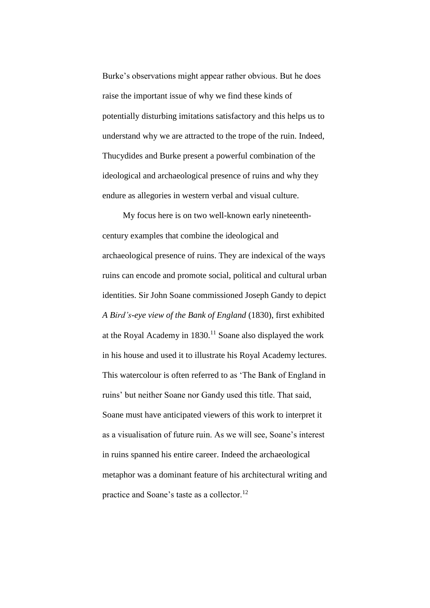Burke's observations might appear rather obvious. But he does raise the important issue of why we find these kinds of potentially disturbing imitations satisfactory and this helps us to understand why we are attracted to the trope of the ruin. Indeed, Thucydides and Burke present a powerful combination of the ideological and archaeological presence of ruins and why they endure as allegories in western verbal and visual culture.

My focus here is on two well-known early nineteenthcentury examples that combine the ideological and archaeological presence of ruins. They are indexical of the ways ruins can encode and promote social, political and cultural urban identities. Sir John Soane commissioned Joseph Gandy to depict *A Bird's-eye view of the Bank of England* (1830), first exhibited at the Royal Academy in  $1830$ .<sup>11</sup> Soane also displayed the work in his house and used it to illustrate his Royal Academy lectures. This watercolour is often referred to as 'The Bank of England in ruins' but neither Soane nor Gandy used this title. That said, Soane must have anticipated viewers of this work to interpret it as a visualisation of future ruin. As we will see, Soane's interest in ruins spanned his entire career. Indeed the archaeological metaphor was a dominant feature of his architectural writing and practice and Soane's taste as a collector.<sup>12</sup>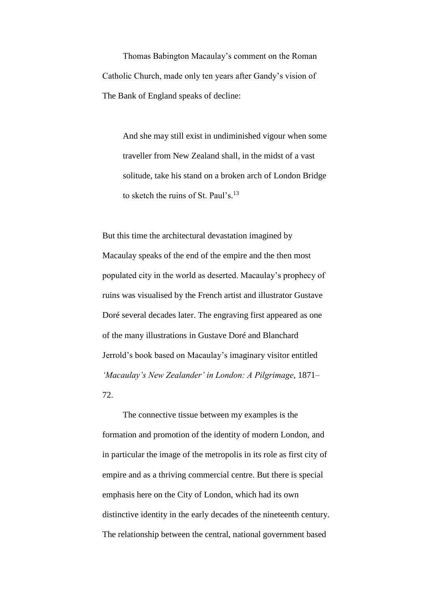Thomas Babington Macaulay's comment on the Roman Catholic Church, made only ten years after Gandy's vision of The Bank of England speaks of decline:

And she may still exist in undiminished vigour when some traveller from New Zealand shall, in the midst of a vast solitude, take his stand on a broken arch of London Bridge to sketch the ruins of St. Paul's.<sup>13</sup>

But this time the architectural devastation imagined by Macaulay speaks of the end of the empire and the then most populated city in the world as deserted. Macaulay's prophecy of ruins was visualised by the French artist and illustrator Gustave Doré several decades later. The engraving first appeared as one of the many illustrations in Gustave Doré and Blanchard Jerrold's book based on Macaulay's imaginary visitor entitled *'Macaulay's New Zealander' in London: A Pilgrimage*, 1871– 72.

The connective tissue between my examples is the formation and promotion of the identity of modern London, and in particular the image of the metropolis in its role as first city of empire and as a thriving commercial centre. But there is special emphasis here on the City of London, which had its own distinctive identity in the early decades of the nineteenth century. The relationship between the central, national government based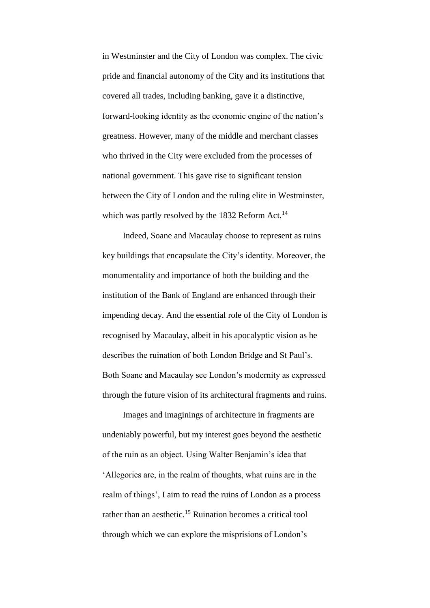in Westminster and the City of London was complex. The civic pride and financial autonomy of the City and its institutions that covered all trades, including banking, gave it a distinctive, forward-looking identity as the economic engine of the nation's greatness. However, many of the middle and merchant classes who thrived in the City were excluded from the processes of national government. This gave rise to significant tension between the City of London and the ruling elite in Westminster, which was partly resolved by the 1832 Reform Act.<sup>14</sup>

Indeed, Soane and Macaulay choose to represent as ruins key buildings that encapsulate the City's identity. Moreover, the monumentality and importance of both the building and the institution of the Bank of England are enhanced through their impending decay. And the essential role of the City of London is recognised by Macaulay, albeit in his apocalyptic vision as he describes the ruination of both London Bridge and St Paul's. Both Soane and Macaulay see London's modernity as expressed through the future vision of its architectural fragments and ruins.

Images and imaginings of architecture in fragments are undeniably powerful, but my interest goes beyond the aesthetic of the ruin as an object. Using Walter Benjamin's idea that 'Allegories are, in the realm of thoughts, what ruins are in the realm of things', I aim to read the ruins of London as a process rather than an aesthetic.<sup>15</sup> Ruination becomes a critical tool through which we can explore the misprisions of London's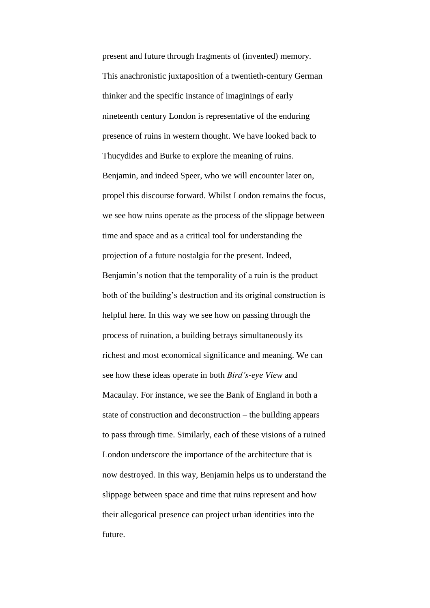present and future through fragments of (invented) memory. This anachronistic juxtaposition of a twentieth-century German thinker and the specific instance of imaginings of early nineteenth century London is representative of the enduring presence of ruins in western thought. We have looked back to Thucydides and Burke to explore the meaning of ruins. Benjamin, and indeed Speer, who we will encounter later on, propel this discourse forward. Whilst London remains the focus, we see how ruins operate as the process of the slippage between time and space and as a critical tool for understanding the projection of a future nostalgia for the present. Indeed, Benjamin's notion that the temporality of a ruin is the product both of the building's destruction and its original construction is helpful here. In this way we see how on passing through the process of ruination, a building betrays simultaneously its richest and most economical significance and meaning. We can see how these ideas operate in both *Bird's-eye View* and Macaulay. For instance, we see the Bank of England in both a state of construction and deconstruction – the building appears to pass through time. Similarly, each of these visions of a ruined London underscore the importance of the architecture that is now destroyed. In this way, Benjamin helps us to understand the slippage between space and time that ruins represent and how their allegorical presence can project urban identities into the future.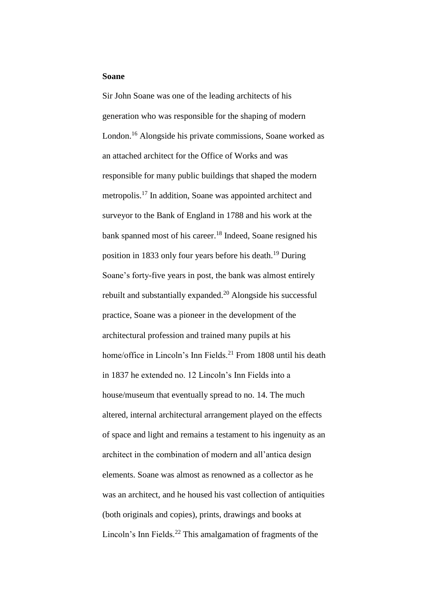# **Soane**

Sir John Soane was one of the leading architects of his generation who was responsible for the shaping of modern London.<sup>16</sup> Alongside his private commissions, Soane worked as an attached architect for the Office of Works and was responsible for many public buildings that shaped the modern metropolis.<sup>17</sup> In addition, Soane was appointed architect and surveyor to the Bank of England in 1788 and his work at the bank spanned most of his career.<sup>18</sup> Indeed, Soane resigned his position in 1833 only four years before his death.<sup>19</sup> During Soane's forty-five years in post, the bank was almost entirely rebuilt and substantially expanded.<sup>20</sup> Alongside his successful practice, Soane was a pioneer in the development of the architectural profession and trained many pupils at his home/office in Lincoln's Inn Fields.<sup>21</sup> From 1808 until his death in 1837 he extended no. 12 Lincoln's Inn Fields into a house/museum that eventually spread to no. 14. The much altered, internal architectural arrangement played on the effects of space and light and remains a testament to his ingenuity as an architect in the combination of modern and all'antica design elements. Soane was almost as renowned as a collector as he was an architect, and he housed his vast collection of antiquities (both originals and copies), prints, drawings and books at Lincoln's Inn Fields.<sup>22</sup> This amalgamation of fragments of the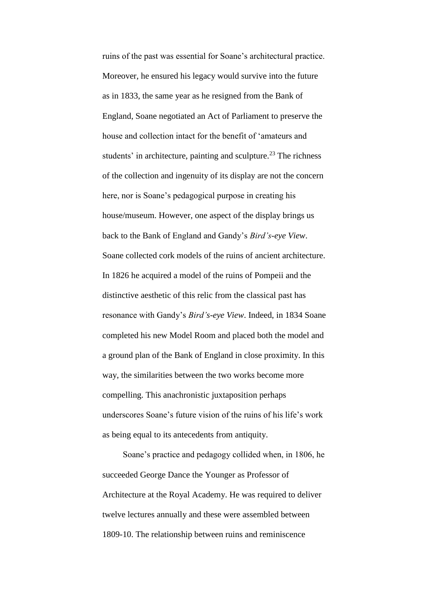ruins of the past was essential for Soane's architectural practice. Moreover, he ensured his legacy would survive into the future as in 1833, the same year as he resigned from the Bank of England, Soane negotiated an Act of Parliament to preserve the house and collection intact for the benefit of 'amateurs and students' in architecture, painting and sculpture.<sup>23</sup> The richness of the collection and ingenuity of its display are not the concern here, nor is Soane's pedagogical purpose in creating his house/museum. However, one aspect of the display brings us back to the Bank of England and Gandy's *Bird's-eye View*. Soane collected cork models of the ruins of ancient architecture. In 1826 he acquired a model of the ruins of Pompeii and the distinctive aesthetic of this relic from the classical past has resonance with Gandy's *Bird's-eye View*. Indeed, in 1834 Soane completed his new Model Room and placed both the model and a ground plan of the Bank of England in close proximity. In this way, the similarities between the two works become more compelling. This anachronistic juxtaposition perhaps underscores Soane's future vision of the ruins of his life's work as being equal to its antecedents from antiquity.

Soane's practice and pedagogy collided when, in 1806, he succeeded George Dance the Younger as Professor of Architecture at the Royal Academy. He was required to deliver twelve lectures annually and these were assembled between 1809-10. The relationship between ruins and reminiscence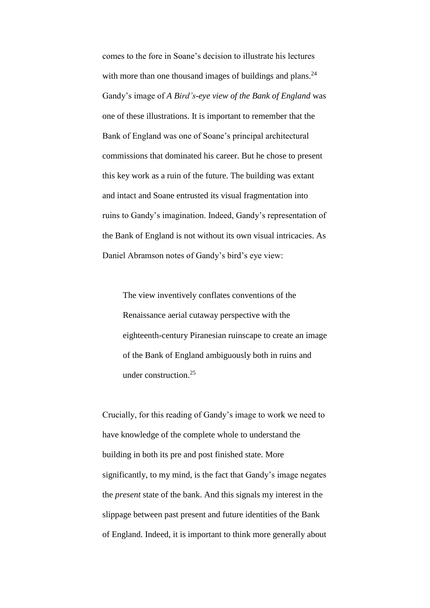comes to the fore in Soane's decision to illustrate his lectures with more than one thousand images of buildings and plans. $^{24}$ Gandy's image of *A Bird's-eye view of the Bank of England* was one of these illustrations. It is important to remember that the Bank of England was one of Soane's principal architectural commissions that dominated his career. But he chose to present this key work as a ruin of the future. The building was extant and intact and Soane entrusted its visual fragmentation into ruins to Gandy's imagination. Indeed, Gandy's representation of the Bank of England is not without its own visual intricacies. As Daniel Abramson notes of Gandy's bird's eye view:

The view inventively conflates conventions of the Renaissance aerial cutaway perspective with the eighteenth-century Piranesian ruinscape to create an image of the Bank of England ambiguously both in ruins and under construction.<sup>25</sup>

Crucially, for this reading of Gandy's image to work we need to have knowledge of the complete whole to understand the building in both its pre and post finished state. More significantly, to my mind, is the fact that Gandy's image negates the *present* state of the bank. And this signals my interest in the slippage between past present and future identities of the Bank of England. Indeed, it is important to think more generally about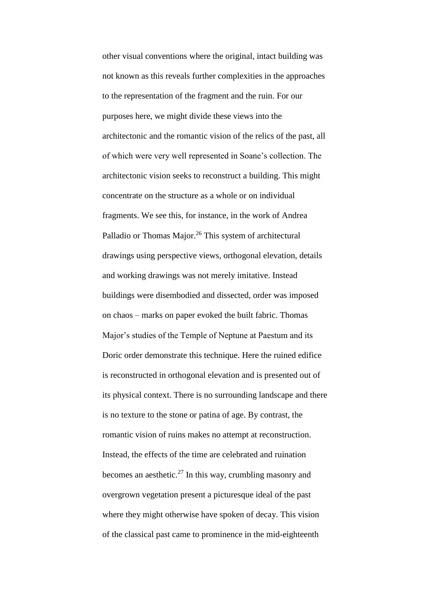other visual conventions where the original, intact building was not known as this reveals further complexities in the approaches to the representation of the fragment and the ruin. For our purposes here, we might divide these views into the architectonic and the romantic vision of the relics of the past, all of which were very well represented in Soane's collection. The architectonic vision seeks to reconstruct a building. This might concentrate on the structure as a whole or on individual fragments. We see this, for instance, in the work of Andrea Palladio or Thomas Major.<sup>26</sup> This system of architectural drawings using perspective views, orthogonal elevation, details and working drawings was not merely imitative. Instead buildings were disembodied and dissected, order was imposed on chaos – marks on paper evoked the built fabric. Thomas Major's studies of the Temple of Neptune at Paestum and its Doric order demonstrate this technique. Here the ruined edifice is reconstructed in orthogonal elevation and is presented out of its physical context. There is no surrounding landscape and there is no texture to the stone or patina of age. By contrast, the romantic vision of ruins makes no attempt at reconstruction. Instead, the effects of the time are celebrated and ruination becomes an aesthetic.<sup>27</sup> In this way, crumbling masonry and overgrown vegetation present a picturesque ideal of the past where they might otherwise have spoken of decay. This vision of the classical past came to prominence in the mid-eighteenth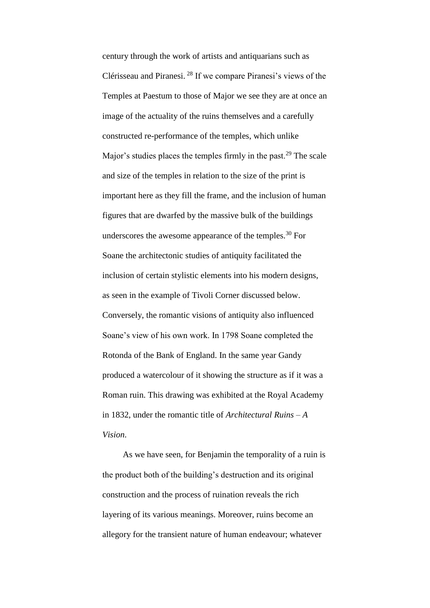century through the work of artists and antiquarians such as Clérisseau and Piranesi. <sup>28</sup> If we compare Piranesi's views of the Temples at Paestum to those of Major we see they are at once an image of the actuality of the ruins themselves and a carefully constructed re-performance of the temples, which unlike Major's studies places the temples firmly in the past.<sup>29</sup> The scale and size of the temples in relation to the size of the print is important here as they fill the frame, and the inclusion of human figures that are dwarfed by the massive bulk of the buildings underscores the awesome appearance of the temples.<sup>30</sup> For Soane the architectonic studies of antiquity facilitated the inclusion of certain stylistic elements into his modern designs, as seen in the example of Tivoli Corner discussed below. Conversely, the romantic visions of antiquity also influenced Soane's view of his own work. In 1798 Soane completed the Rotonda of the Bank of England. In the same year Gandy produced a watercolour of it showing the structure as if it was a Roman ruin. This drawing was exhibited at the Royal Academy in 1832, under the romantic title of *Architectural Ruins – A Vision*.

As we have seen, for Benjamin the temporality of a ruin is the product both of the building's destruction and its original construction and the process of ruination reveals the rich layering of its various meanings. Moreover, ruins become an allegory for the transient nature of human endeavour; whatever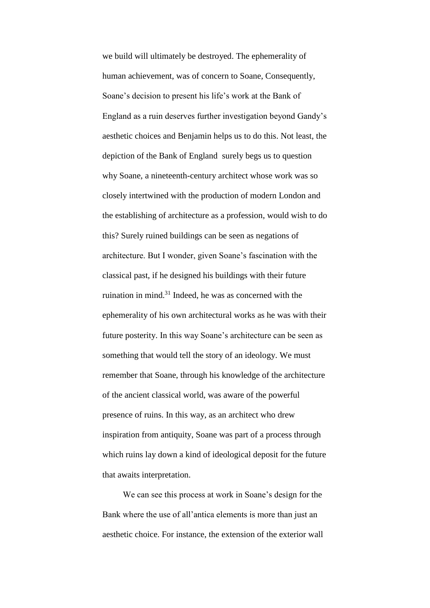we build will ultimately be destroyed. The ephemerality of human achievement, was of concern to Soane, Consequently, Soane's decision to present his life's work at the Bank of England as a ruin deserves further investigation beyond Gandy's aesthetic choices and Benjamin helps us to do this. Not least, the depiction of the Bank of England surely begs us to question why Soane, a nineteenth-century architect whose work was so closely intertwined with the production of modern London and the establishing of architecture as a profession, would wish to do this? Surely ruined buildings can be seen as negations of architecture. But I wonder, given Soane's fascination with the classical past, if he designed his buildings with their future ruination in mind. $31$  Indeed, he was as concerned with the ephemerality of his own architectural works as he was with their future posterity. In this way Soane's architecture can be seen as something that would tell the story of an ideology. We must remember that Soane, through his knowledge of the architecture of the ancient classical world, was aware of the powerful presence of ruins. In this way, as an architect who drew inspiration from antiquity, Soane was part of a process through which ruins lay down a kind of ideological deposit for the future that awaits interpretation.

We can see this process at work in Soane's design for the Bank where the use of all'antica elements is more than just an aesthetic choice. For instance, the extension of the exterior wall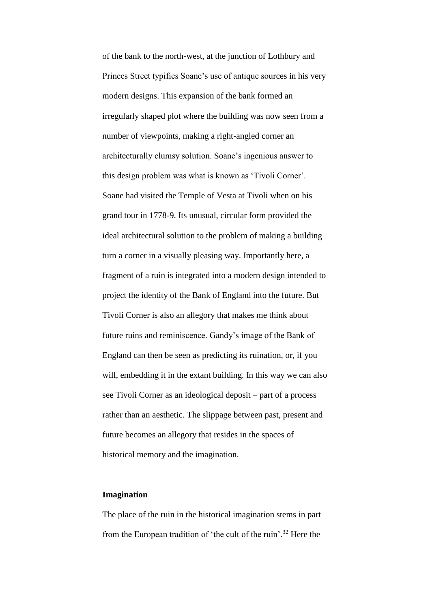of the bank to the north-west, at the junction of Lothbury and Princes Street typifies Soane's use of antique sources in his very modern designs. This expansion of the bank formed an irregularly shaped plot where the building was now seen from a number of viewpoints, making a right-angled corner an architecturally clumsy solution. Soane's ingenious answer to this design problem was what is known as 'Tivoli Corner'. Soane had visited the Temple of Vesta at Tivoli when on his grand tour in 1778-9. Its unusual, circular form provided the ideal architectural solution to the problem of making a building turn a corner in a visually pleasing way. Importantly here, a fragment of a ruin is integrated into a modern design intended to project the identity of the Bank of England into the future. But Tivoli Corner is also an allegory that makes me think about future ruins and reminiscence. Gandy's image of the Bank of England can then be seen as predicting its ruination, or, if you will, embedding it in the extant building. In this way we can also see Tivoli Corner as an ideological deposit – part of a process rather than an aesthetic. The slippage between past, present and future becomes an allegory that resides in the spaces of historical memory and the imagination.

## **Imagination**

The place of the ruin in the historical imagination stems in part from the European tradition of 'the cult of the ruin'.<sup>32</sup> Here the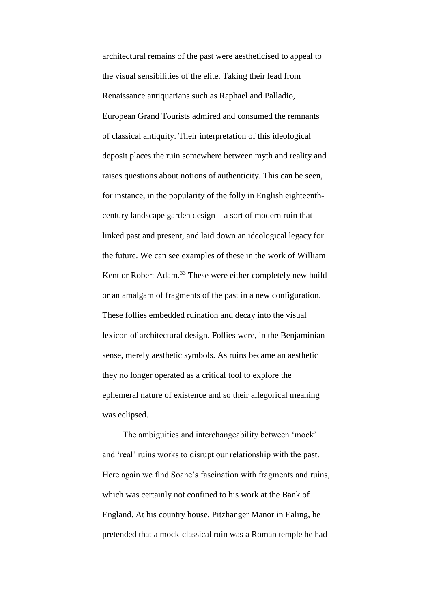architectural remains of the past were aestheticised to appeal to the visual sensibilities of the elite. Taking their lead from Renaissance antiquarians such as Raphael and Palladio, European Grand Tourists admired and consumed the remnants of classical antiquity. Their interpretation of this ideological deposit places the ruin somewhere between myth and reality and raises questions about notions of authenticity. This can be seen, for instance, in the popularity of the folly in English eighteenthcentury landscape garden design – a sort of modern ruin that linked past and present, and laid down an ideological legacy for the future. We can see examples of these in the work of William Kent or Robert Adam.<sup>33</sup> These were either completely new build or an amalgam of fragments of the past in a new configuration. These follies embedded ruination and decay into the visual lexicon of architectural design. Follies were, in the Benjaminian sense, merely aesthetic symbols. As ruins became an aesthetic they no longer operated as a critical tool to explore the ephemeral nature of existence and so their allegorical meaning was eclipsed.

The ambiguities and interchangeability between 'mock' and 'real' ruins works to disrupt our relationship with the past. Here again we find Soane's fascination with fragments and ruins, which was certainly not confined to his work at the Bank of England. At his country house, Pitzhanger Manor in Ealing, he pretended that a mock-classical ruin was a Roman temple he had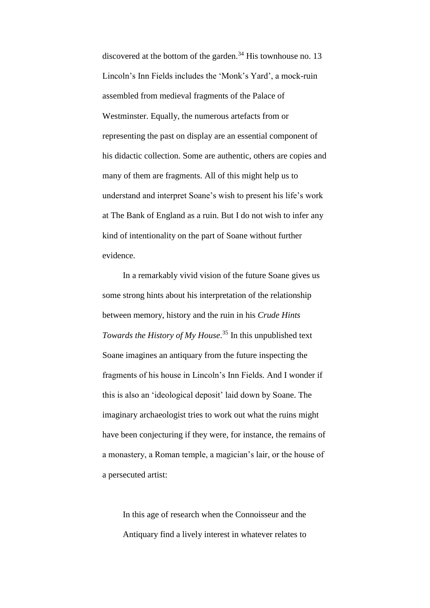discovered at the bottom of the garden. $34$  His townhouse no. 13 Lincoln's Inn Fields includes the 'Monk's Yard', a mock-ruin assembled from medieval fragments of the Palace of Westminster. Equally, the numerous artefacts from or representing the past on display are an essential component of his didactic collection. Some are authentic, others are copies and many of them are fragments. All of this might help us to understand and interpret Soane's wish to present his life's work at The Bank of England as a ruin. But I do not wish to infer any kind of intentionality on the part of Soane without further evidence.

In a remarkably vivid vision of the future Soane gives us some strong hints about his interpretation of the relationship between memory, history and the ruin in his *Crude Hints Towards the History of My House*. <sup>35</sup> In this unpublished text Soane imagines an antiquary from the future inspecting the fragments of his house in Lincoln's Inn Fields*.* And I wonder if this is also an 'ideological deposit' laid down by Soane. The imaginary archaeologist tries to work out what the ruins might have been conjecturing if they were, for instance, the remains of a monastery, a Roman temple, a magician's lair, or the house of a persecuted artist:

In this age of research when the Connoisseur and the Antiquary find a lively interest in whatever relates to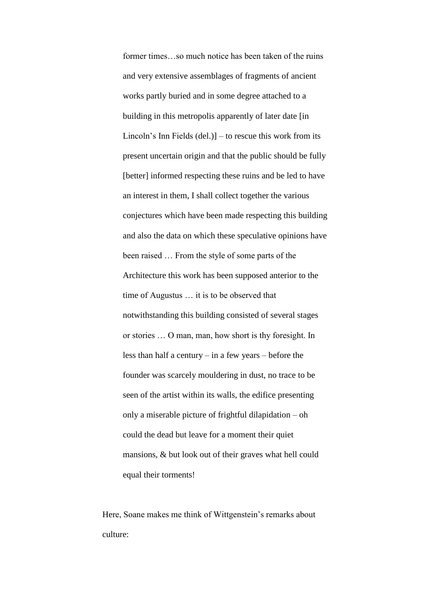former times…so much notice has been taken of the ruins and very extensive assemblages of fragments of ancient works partly buried and in some degree attached to a building in this metropolis apparently of later date [in Lincoln's Inn Fields (del.)] – to rescue this work from its present uncertain origin and that the public should be fully [better] informed respecting these ruins and be led to have an interest in them, I shall collect together the various conjectures which have been made respecting this building and also the data on which these speculative opinions have been raised … From the style of some parts of the Architecture this work has been supposed anterior to the time of Augustus … it is to be observed that notwithstanding this building consisted of several stages or stories … O man, man, how short is thy foresight. In less than half a century – in a few years – before the founder was scarcely mouldering in dust, no trace to be seen of the artist within its walls, the edifice presenting only a miserable picture of frightful dilapidation – oh could the dead but leave for a moment their quiet mansions, & but look out of their graves what hell could equal their torments!

Here, Soane makes me think of Wittgenstein's remarks about culture: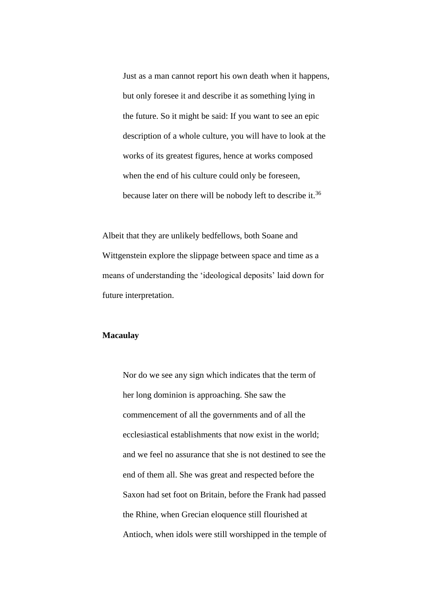Just as a man cannot report his own death when it happens, but only foresee it and describe it as something lying in the future. So it might be said: If you want to see an epic description of a whole culture, you will have to look at the works of its greatest figures, hence at works composed when the end of his culture could only be foreseen, because later on there will be nobody left to describe it.<sup>36</sup>

Albeit that they are unlikely bedfellows, both Soane and Wittgenstein explore the slippage between space and time as a means of understanding the 'ideological deposits' laid down for future interpretation.

# **Macaulay**

Nor do we see any sign which indicates that the term of her long dominion is approaching. She saw the commencement of all the governments and of all the ecclesiastical establishments that now exist in the world; and we feel no assurance that she is not destined to see the end of them all. She was great and respected before the Saxon had set foot on Britain, before the Frank had passed the Rhine, when Grecian eloquence still flourished at Antioch, when idols were still worshipped in the temple of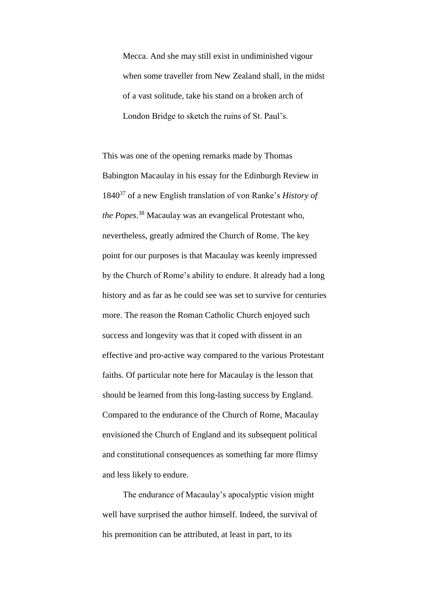Mecca. And she may still exist in undiminished vigour when some traveller from New Zealand shall, in the midst of a vast solitude, take his stand on a broken arch of London Bridge to sketch the ruins of St. Paul's.

This was one of the opening remarks made by Thomas Babington Macaulay in his essay for the Edinburgh Review in 1840<sup>37</sup> of a new English translation of von Ranke's *History of the Popes*. <sup>38</sup> Macaulay was an evangelical Protestant who, nevertheless, greatly admired the Church of Rome. The key point for our purposes is that Macaulay was keenly impressed by the Church of Rome's ability to endure. It already had a long history and as far as he could see was set to survive for centuries more. The reason the Roman Catholic Church enjoyed such success and longevity was that it coped with dissent in an effective and pro-active way compared to the various Protestant faiths. Of particular note here for Macaulay is the lesson that should be learned from this long-lasting success by England. Compared to the endurance of the Church of Rome, Macaulay envisioned the Church of England and its subsequent political and constitutional consequences as something far more flimsy and less likely to endure.

The endurance of Macaulay's apocalyptic vision might well have surprised the author himself. Indeed, the survival of his premonition can be attributed, at least in part, to its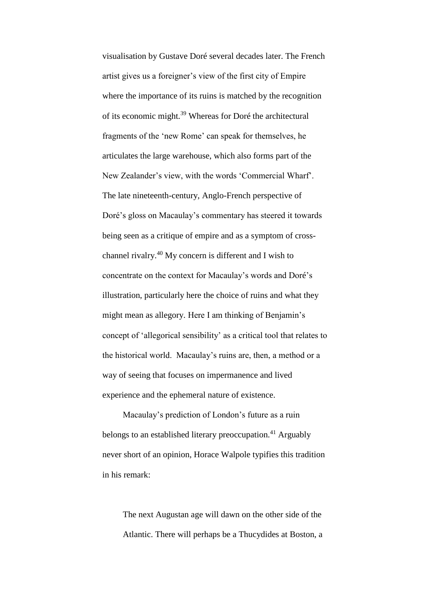visualisation by Gustave Doré several decades later. The French artist gives us a foreigner's view of the first city of Empire where the importance of its ruins is matched by the recognition of its economic might.<sup>39</sup> Whereas for Doré the architectural fragments of the 'new Rome' can speak for themselves, he articulates the large warehouse, which also forms part of the New Zealander's view, with the words 'Commercial Wharf'. The late nineteenth-century, Anglo-French perspective of Doré's gloss on Macaulay's commentary has steered it towards being seen as a critique of empire and as a symptom of crosschannel rivalry.<sup>40</sup> My concern is different and I wish to concentrate on the context for Macaulay's words and Doré's illustration, particularly here the choice of ruins and what they might mean as allegory. Here I am thinking of Benjamin's concept of 'allegorical sensibility' as a critical tool that relates to the historical world. Macaulay's ruins are, then, a method or a way of seeing that focuses on impermanence and lived experience and the ephemeral nature of existence.

Macaulay's prediction of London's future as a ruin belongs to an established literary preoccupation.<sup>41</sup> Arguably never short of an opinion, Horace Walpole typifies this tradition in his remark:

The next Augustan age will dawn on the other side of the Atlantic. There will perhaps be a Thucydides at Boston, a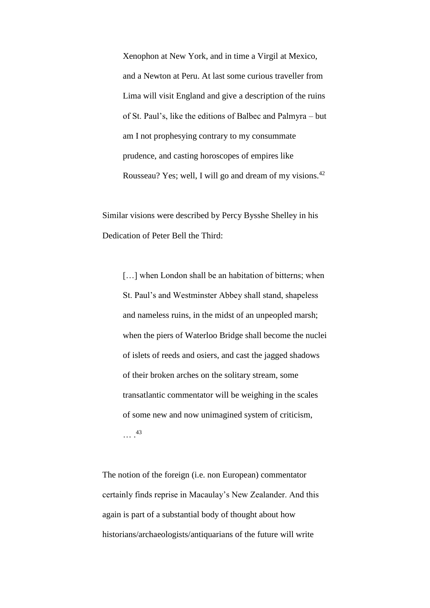Xenophon at New York, and in time a Virgil at Mexico, and a Newton at Peru. At last some curious traveller from Lima will visit England and give a description of the ruins of St. Paul's, like the editions of Balbec and Palmyra – but am I not prophesying contrary to my consummate prudence, and casting horoscopes of empires like Rousseau? Yes; well, I will go and dream of my visions.<sup>42</sup>

Similar visions were described by Percy Bysshe Shelley in his Dedication of Peter Bell the Third:

[...] when London shall be an habitation of bitterns; when St. Paul's and Westminster Abbey shall stand, shapeless and nameless ruins, in the midst of an unpeopled marsh; when the piers of Waterloo Bridge shall become the nuclei of islets of reeds and osiers, and cast the jagged shadows of their broken arches on the solitary stream, some transatlantic commentator will be weighing in the scales of some new and now unimagined system of criticism, … . 43

The notion of the foreign (i.e. non European) commentator certainly finds reprise in Macaulay's New Zealander. And this again is part of a substantial body of thought about how historians/archaeologists/antiquarians of the future will write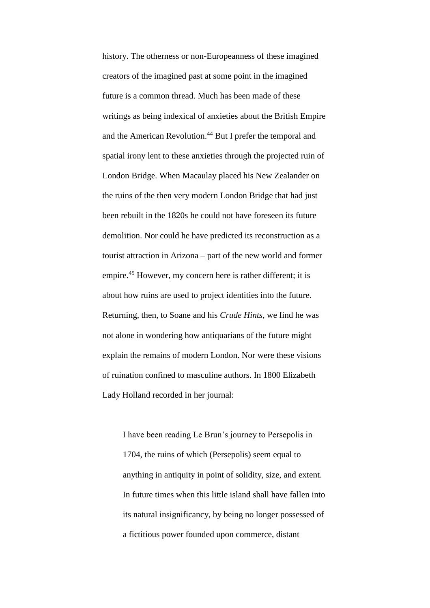history. The otherness or non-Europeanness of these imagined creators of the imagined past at some point in the imagined future is a common thread. Much has been made of these writings as being indexical of anxieties about the British Empire and the American Revolution.<sup>44</sup> But I prefer the temporal and spatial irony lent to these anxieties through the projected ruin of London Bridge. When Macaulay placed his New Zealander on the ruins of the then very modern London Bridge that had just been rebuilt in the 1820s he could not have foreseen its future demolition. Nor could he have predicted its reconstruction as a tourist attraction in Arizona – part of the new world and former empire.<sup>45</sup> However, my concern here is rather different; it is about how ruins are used to project identities into the future. Returning, then, to Soane and his *Crude Hints*, we find he was not alone in wondering how antiquarians of the future might explain the remains of modern London. Nor were these visions of ruination confined to masculine authors. In 1800 Elizabeth Lady Holland recorded in her journal:

I have been reading Le Brun's journey to Persepolis in 1704, the ruins of which (Persepolis) seem equal to anything in antiquity in point of solidity, size, and extent. In future times when this little island shall have fallen into its natural insignificancy, by being no longer possessed of a fictitious power founded upon commerce, distant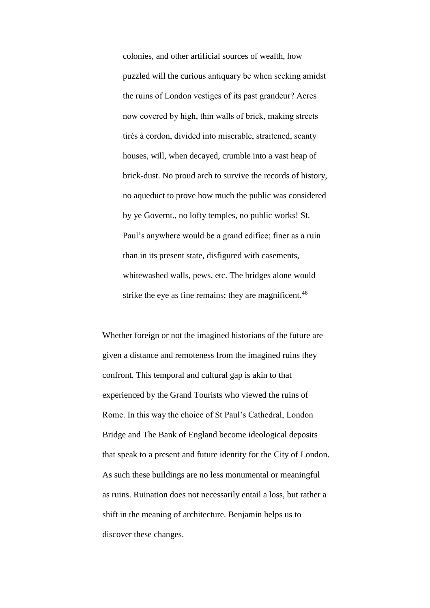colonies, and other artificial sources of wealth, how puzzled will the curious antiquary be when seeking amidst the ruins of London vestiges of its past grandeur? Acres now covered by high, thin walls of brick, making streets tirés à cordon, divided into miserable, straitened, scanty houses, will, when decayed, crumble into a vast heap of brick-dust. No proud arch to survive the records of history, no aqueduct to prove how much the public was considered by ye Governt., no lofty temples, no public works! St. Paul's anywhere would be a grand edifice; finer as a ruin than in its present state, disfigured with casements, whitewashed walls, pews, etc. The bridges alone would strike the eye as fine remains; they are magnificent. $46$ 

Whether foreign or not the imagined historians of the future are given a distance and remoteness from the imagined ruins they confront. This temporal and cultural gap is akin to that experienced by the Grand Tourists who viewed the ruins of Rome. In this way the choice of St Paul's Cathedral, London Bridge and The Bank of England become ideological deposits that speak to a present and future identity for the City of London. As such these buildings are no less monumental or meaningful as ruins. Ruination does not necessarily entail a loss, but rather a shift in the meaning of architecture. Benjamin helps us to discover these changes.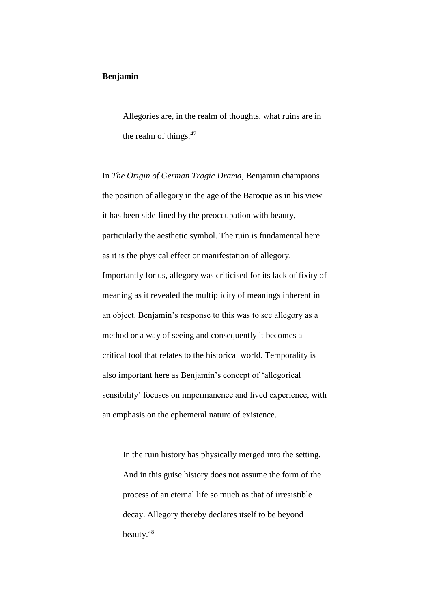# **Benjamin**

Allegories are, in the realm of thoughts, what ruins are in the realm of things. $47$ 

In *The Origin of German Tragic Drama*, Benjamin champions the position of allegory in the age of the Baroque as in his view it has been side-lined by the preoccupation with beauty, particularly the aesthetic symbol. The ruin is fundamental here as it is the physical effect or manifestation of allegory. Importantly for us, allegory was criticised for its lack of fixity of meaning as it revealed the multiplicity of meanings inherent in an object. Benjamin's response to this was to see allegory as a method or a way of seeing and consequently it becomes a critical tool that relates to the historical world. Temporality is also important here as Benjamin's concept of 'allegorical sensibility' focuses on impermanence and lived experience, with an emphasis on the ephemeral nature of existence.

In the ruin history has physically merged into the setting. And in this guise history does not assume the form of the process of an eternal life so much as that of irresistible decay. Allegory thereby declares itself to be beyond beauty.<sup>48</sup>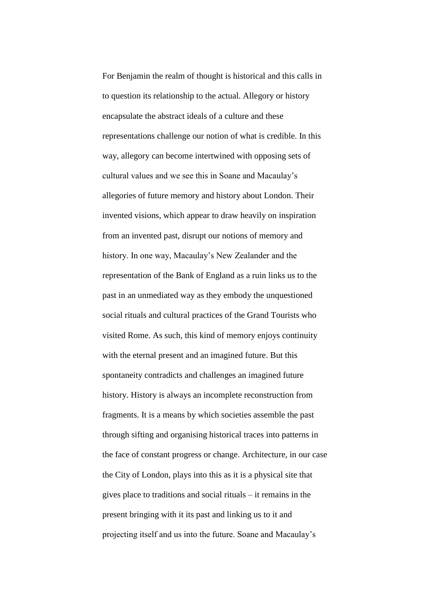For Benjamin the realm of thought is historical and this calls in to question its relationship to the actual. Allegory or history encapsulate the abstract ideals of a culture and these representations challenge our notion of what is credible. In this way, allegory can become intertwined with opposing sets of cultural values and we see this in Soane and Macaulay's allegories of future memory and history about London. Their invented visions, which appear to draw heavily on inspiration from an invented past, disrupt our notions of memory and history. In one way, Macaulay's New Zealander and the representation of the Bank of England as a ruin links us to the past in an unmediated way as they embody the unquestioned social rituals and cultural practices of the Grand Tourists who visited Rome. As such, this kind of memory enjoys continuity with the eternal present and an imagined future. But this spontaneity contradicts and challenges an imagined future history. History is always an incomplete reconstruction from fragments. It is a means by which societies assemble the past through sifting and organising historical traces into patterns in the face of constant progress or change. Architecture, in our case the City of London, plays into this as it is a physical site that gives place to traditions and social rituals – it remains in the present bringing with it its past and linking us to it and projecting itself and us into the future. Soane and Macaulay's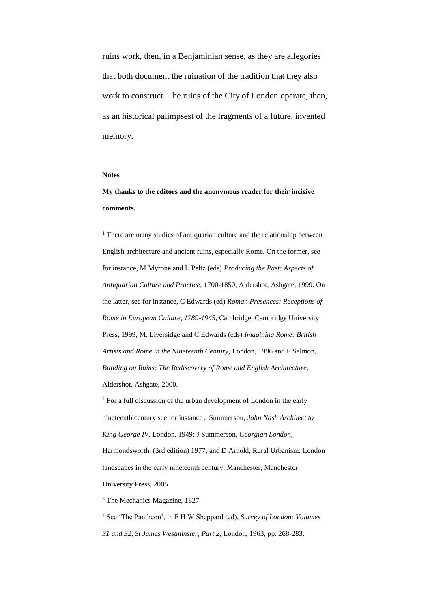ruins work, then, in a Benjaminian sense, as they are allegories that both document the ruination of the tradition that they also work to construct. The ruins of the City of London operate, then, as an historical palimpsest of the fragments of a future, invented memory.

#### **Notes**

# **My thanks to the editors and the anonymous reader for their incisive comments.**

<sup>1</sup> There are many studies of antiquarian culture and the relationship between English architecture and ancient ruins, especially Rome. On the former, see for instance, M Myrone and L Peltz (eds) *Producing the Past: Aspects of Antiquarian Culture and Practice*, 1700-1850, Aldershot, Ashgate, 1999. On the latter, see for instance, C Edwards (ed) *Roman Presences: Receptions of Rome in European Culture, 1789-1945*, Cambridge, Cambridge University Press, 1999, M. Liversidge and C Edwards (eds) *Imagining Rome: British Artists and Rome in the Nineteenth Century,* London, 1996 and F Salmon, *Building on Ruins: The Rediscovery of Rome and English Architecture,* Aldershot, Ashgate, 2000.

<sup>2</sup> For a full discussion of the urban development of London in the early nineteenth century see for instance J Summerson, *John Nash Architect to King George IV*, London, 1949; J Summerson, *Georgian London*, Harmondsworth, (3rd edition) 1977; and D Arnold, Rural Urbanism: London landscapes in the early nineteenth century, Manchester, Manchester University Press, 2005

<sup>3</sup> The Mechanics Magazine, 1827

<sup>4</sup> See 'The Pantheon', in F H W Sheppard (ed), *Survey of London: Volumes 31 and 32, St James Westminster, Part 2*, London, 1963, pp. 268-283.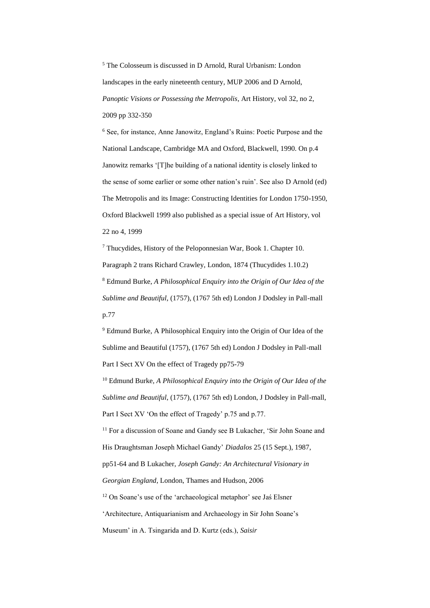<sup>5</sup> The Colosseum is discussed in D Arnold, Rural Urbanism: London landscapes in the early nineteenth century, MUP 2006 and D Arnold, *Panoptic Visions or Possessing the Metropolis*, Art History, vol 32, no 2, 2009 pp 332-350

<sup>6</sup> See, for instance, Anne Janowitz, England's Ruins: Poetic Purpose and the National Landscape, Cambridge MA and Oxford, Blackwell, 1990. On p.4 Janowitz remarks '[T]he building of a national identity is closely linked to the sense of some earlier or some other nation's ruin'. See also D Arnold (ed) The Metropolis and its Image: Constructing Identities for London 1750-1950, Oxford Blackwell 1999 also published as a special issue of Art History, vol 22 no 4, 1999

<sup>7</sup> Thucydides, History of the Peloponnesian War, Book 1. Chapter 10. Paragraph 2 trans Richard Crawley, London, 1874 (Thucydides 1.10.2) <sup>8</sup> Edmund Burke, *A Philosophical Enquiry into the Origin of Our Idea of the Sublime and Beautiful*, (1757), (1767 5th ed) London J Dodsley in Pall-mall p.77

<sup>9</sup> Edmund Burke, A Philosophical Enquiry into the Origin of Our Idea of the Sublime and Beautiful (1757), (1767 5th ed) London J Dodsley in Pall-mall Part I Sect XV On the effect of Tragedy pp75-79

<sup>10</sup> Edmund Burke, *A Philosophical Enquiry into the Origin of Our Idea of the Sublime and Beautiful*, (1757), (1767 5th ed) London, J Dodsley in Pall-mall, Part I Sect XV 'On the effect of Tragedy' p.75 and p.77.

<sup>11</sup> For a discussion of Soane and Gandy see B Lukacher, 'Sir John Soane and His Draughtsman Joseph Michael Gandy' *Diadalos* 25 (15 Sept.), 1987, pp51-64 and B Lukacher, *Joseph Gandy: An Architectural Visionary in Georgian England*, London, Thames and Hudson, 2006 <sup>12</sup> On Soane's use of the 'archaeological metaphor' see Jaś Elsner

'Architecture, Antiquarianism and Archaeology in Sir John Soane's

Museum' in A. Tsingarida and D. Kurtz (eds.), *Saisir*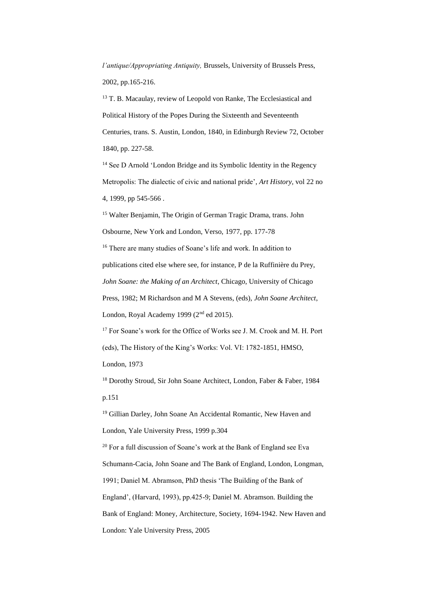*l'antique/Appropriating Antiquity,* Brussels, University of Brussels Press, 2002, pp.165-216.

<sup>13</sup> T. B. Macaulay, review of Leopold von Ranke, The Ecclesiastical and Political History of the Popes During the Sixteenth and Seventeenth Centuries, trans. S. Austin, London, 1840, in Edinburgh Review 72, October 1840, pp. 227-58.

<sup>14</sup> See D Arnold 'London Bridge and its Symbolic Identity in the Regency Metropolis: The dialectic of civic and national pride', *Art History,* vol 22 no 4, 1999, pp 545-566 .

<sup>15</sup> Walter Benjamin, The Origin of German Tragic Drama, trans. John Osbourne, New York and London, Verso, 1977, pp. 177-78

<sup>16</sup> There are many studies of Soane's life and work. In addition to publications cited else where see, for instance, P de la Ruffinière du Prey, *John Soane: the Making of an Architect*, Chicago, University of Chicago Press, 1982; M Richardson and M A Stevens, (eds), *John Soane Architect*, London, Royal Academy 1999 (2<sup>nd</sup> ed 2015).

<sup>17</sup> For Soane's work for the Office of Works see J. M. Crook and M. H. Port (eds), The History of the King's Works: Vol. VI: 1782-1851, HMSO, London, 1973

<sup>18</sup> Dorothy Stroud, Sir John Soane Architect, London, Faber & Faber, 1984 p.151

<sup>19</sup> Gillian Darley, John Soane An Accidental Romantic, New Haven and London, Yale University Press, 1999 p.304

 $20$  For a full discussion of Soane's work at the Bank of England see Eva Schumann-Cacia, John Soane and The Bank of England, London, Longman, 1991; Daniel M. Abramson, PhD thesis 'The Building of the Bank of England', (Harvard, 1993), pp.425-9; Daniel M. Abramson. Building the Bank of England: Money, Architecture, Society, 1694-1942. New Haven and London: Yale University Press, 2005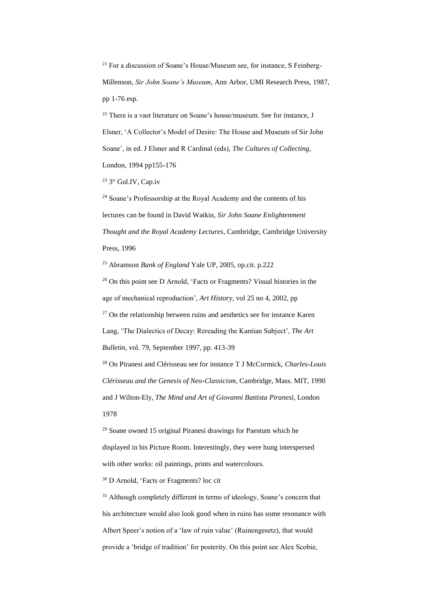$21$  For a discussion of Soane's House/Museum see, for instance, S Feinberg-Millenson, *Sir John Soane's Museum*, Ann Arbor, UMI Research Press, 1987, pp 1-76 esp.

 $22$  There is a vast literature on Soane's house/museum. See for instance, J Elsner, 'A Collector's Model of Desire: The House and Museum of Sir John Soane', in ed. J Elsner and R Cardinal (eds), *The Cultures of Collecting*, London, 1994 pp155-176

<sup>23</sup> 3° Gul.IV, Cap.iv

<sup>24</sup> Soane's Professorship at the Royal Academy and the contents of his lectures can be found in David Watkin, *Sir John Soane Enlightenment Thought and the Royal Academy Lectures*, Cambridge, Cambridge University Press, 1996

<sup>25</sup> Abramson *Bank of England* Yale UP, 2005, op.cit. p.222

<sup>26</sup> On this point see D Arnold, 'Facts or Fragments? Visual histories in the age of mechanical reproduction', *Art History*, vol 25 no 4, 2002, pp  $27$  On the relationship between ruins and aesthetics see for instance Karen Lang, 'The Dialectics of Decay: Rereading the Kantian Subject', *The Art Bulletin*, vol. 79, September 1997, pp. 413-39

<sup>28</sup> On Piranesi and Clérisseau see for instance T J McCormick, *Charles-Louis Clérisseau and the Genesis of Neo-Classicism*, Cambridge, Mass. MIT, 1990 and J Wilton-Ely, *The Mind and Art of Giovanni Battista Piranesi*, London 1978

<sup>29</sup> Soane owned 15 original Piranesi drawings for Paestum which he displayed in his Picture Room. Interestingly, they were hung interspersed with other works: oil paintings, prints and watercolours.

<sup>30</sup> D Arnold, 'Facts or Fragments? loc cit

<sup>31</sup> Although completely different in terms of ideology, Soane's concern that his architecture would also look good when in ruins has some resonance with Albert Speer's notion of a 'law of ruin value' (Ruinengesetz), that would provide a 'bridge of tradition' for posterity. On this point see Alex Scobie,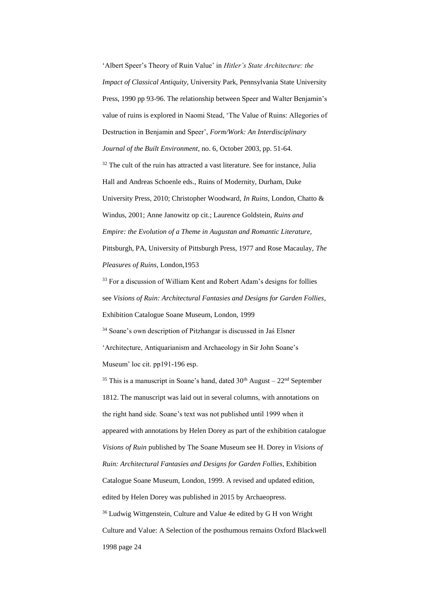'Albert Speer's Theory of Ruin Value' in *Hitler's State Architecture: the Impact of Classical Antiquity,* University Park, Pennsylvania State University Press, 1990 pp 93-96. The relationship between Speer and Walter Benjamin's value of ruins is explored in Naomi Stead, 'The Value of Ruins: Allegories of Destruction in Benjamin and Speer', *Form/Work: An Interdisciplinary Journal of the Built Environment*, no. 6, October 2003, pp. 51-64.  $32$  The cult of the ruin has attracted a vast literature. See for instance, Julia Hall and Andreas Schoenle eds., Ruins of Modernity, Durham, Duke University Press, 2010; Christopher Woodward, *In Ruins,* London, Chatto & Windus, 2001; Anne Janowitz op cit.; Laurence Goldstein, *Ruins and Empire: the Evolution of a Theme in Augustan and Romantic Literature,*  Pittsburgh, PA, University of Pittsburgh Press, 1977 and Rose Macaulay, *The Pleasures of Ruins*, London,1953

<sup>33</sup> For a discussion of William Kent and Robert Adam's designs for follies see *Visions of Ruin: Architectural Fantasies and Designs for Garden Follies*, Exhibition Catalogue Soane Museum, London, 1999

<sup>34</sup> Soane's own description of Pitzhangar is discussed in Jaś Elsner 'Architecture, Antiquarianism and Archaeology in Sir John Soane's Museum' loc cit. pp191-196 esp.

 $35$  This is a manuscript in Soane's hand, dated  $30<sup>th</sup>$  August –  $22<sup>nd</sup>$  September 1812. The manuscript was laid out in several columns, with annotations on the right hand side. Soane's text was not published until 1999 when it appeared with annotations by Helen Dorey as part of the exhibition catalogue *Visions of Ruin* published by The Soane Museum see H. Dorey in *Visions of Ruin: Architectural Fantasies and Designs for Garden Follies*, Exhibition Catalogue Soane Museum, London, 1999. A revised and updated edition, edited by Helen Dorey was published in 2015 by Archaeopress. <sup>36</sup> Ludwig Wittgenstein, Culture and Value 4e edited by G H von Wright Culture and Value: A Selection of the posthumous remains Oxford Blackwell 1998 page 24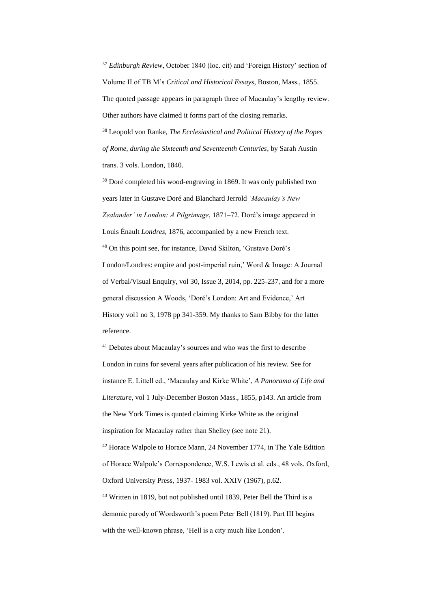<sup>37</sup> *Edinburgh Review*, October 1840 (loc. cit) and 'Foreign History' section of Volume II of TB M's *Critical and Historical Essays*, Boston, Mass., 1855.

The quoted passage appears in paragraph three of Macaulay's lengthy review. Other authors have claimed it forms part of the closing remarks.

<sup>38</sup> Leopold von Ranke, *The Ecclesiastical and Political History of the Popes of Rome, during the Sixteenth and Seventeenth Centuries*, by Sarah Austin trans. 3 vols. London, 1840.

<sup>39</sup> Doré completed his wood-engraving in 1869. It was only published two years later in Gustave Doré and Blanchard Jerrold *'Macaulay's New Zealander' in London: A Pilgrimage*, 1871–72. Doré's image appeared in Louis Énault *Londres*, 1876, accompanied by a new French text. <sup>40</sup> On this point see, for instance, David Skilton, 'Gustave Doré's London/Londres: empire and post-imperial ruin,' Word & Image: A Journal of Verbal/Visual Enquiry, vol 30, Issue 3, 2014, pp. 225-237, and for a more general discussion A Woods, 'Doré's London: Art and Evidence,' Art History vol1 no 3, 1978 pp 341-359. My thanks to Sam Bibby for the latter reference.

<sup>41</sup> Debates about Macaulay's sources and who was the first to describe London in ruins for several years after publication of his review. See for instance E. Littell ed., 'Macaulay and Kirke White', *A Panorama of Life and Literature*, vol 1 July-December Boston Mass., 1855, p143. An article from the New York Times is quoted claiming Kirke White as the original inspiration for Macaulay rather than Shelley (see note 21). <sup>42</sup> Horace Walpole to Horace Mann, 24 November 1774, in The Yale Edition of Horace Walpole's Correspondence, W.S. Lewis et al. eds., 48 vols. Oxford, Oxford University Press, 1937- 1983 vol. XXIV (1967), p.62. <sup>43</sup> Written in 1819, but not published until 1839, Peter Bell the Third is a

demonic parody of Wordsworth's poem Peter Bell (1819). Part III begins with the well-known phrase, 'Hell is a city much like London'.